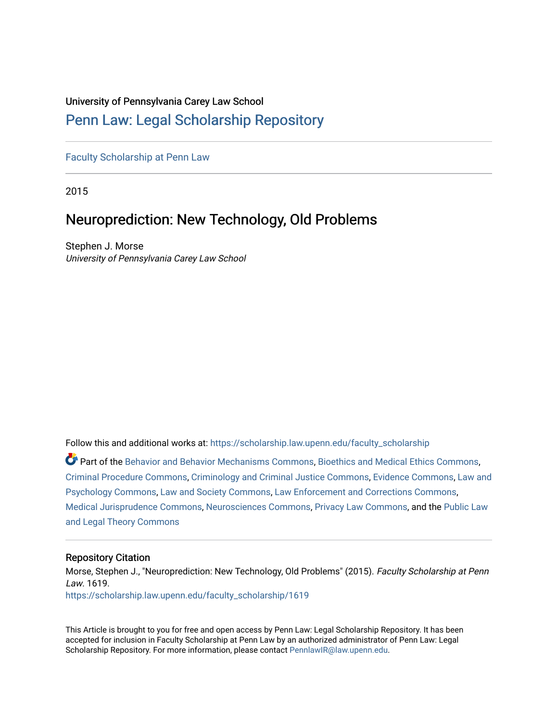## University of Pennsylvania Carey Law School

## [Penn Law: Legal Scholarship Repository](https://scholarship.law.upenn.edu/)

[Faculty Scholarship at Penn Law](https://scholarship.law.upenn.edu/faculty_scholarship)

2015

# Neuroprediction: New Technology, Old Problems

Stephen J. Morse University of Pennsylvania Carey Law School

Follow this and additional works at: [https://scholarship.law.upenn.edu/faculty\\_scholarship](https://scholarship.law.upenn.edu/faculty_scholarship?utm_source=scholarship.law.upenn.edu%2Ffaculty_scholarship%2F1619&utm_medium=PDF&utm_campaign=PDFCoverPages) 

Part of the [Behavior and Behavior Mechanisms Commons,](http://network.bepress.com/hgg/discipline/963?utm_source=scholarship.law.upenn.edu%2Ffaculty_scholarship%2F1619&utm_medium=PDF&utm_campaign=PDFCoverPages) [Bioethics and Medical Ethics Commons](http://network.bepress.com/hgg/discipline/650?utm_source=scholarship.law.upenn.edu%2Ffaculty_scholarship%2F1619&utm_medium=PDF&utm_campaign=PDFCoverPages), [Criminal Procedure Commons,](http://network.bepress.com/hgg/discipline/1073?utm_source=scholarship.law.upenn.edu%2Ffaculty_scholarship%2F1619&utm_medium=PDF&utm_campaign=PDFCoverPages) [Criminology and Criminal Justice Commons](http://network.bepress.com/hgg/discipline/367?utm_source=scholarship.law.upenn.edu%2Ffaculty_scholarship%2F1619&utm_medium=PDF&utm_campaign=PDFCoverPages), [Evidence Commons,](http://network.bepress.com/hgg/discipline/601?utm_source=scholarship.law.upenn.edu%2Ffaculty_scholarship%2F1619&utm_medium=PDF&utm_campaign=PDFCoverPages) [Law and](http://network.bepress.com/hgg/discipline/870?utm_source=scholarship.law.upenn.edu%2Ffaculty_scholarship%2F1619&utm_medium=PDF&utm_campaign=PDFCoverPages)  [Psychology Commons,](http://network.bepress.com/hgg/discipline/870?utm_source=scholarship.law.upenn.edu%2Ffaculty_scholarship%2F1619&utm_medium=PDF&utm_campaign=PDFCoverPages) [Law and Society Commons](http://network.bepress.com/hgg/discipline/853?utm_source=scholarship.law.upenn.edu%2Ffaculty_scholarship%2F1619&utm_medium=PDF&utm_campaign=PDFCoverPages), [Law Enforcement and Corrections Commons](http://network.bepress.com/hgg/discipline/854?utm_source=scholarship.law.upenn.edu%2Ffaculty_scholarship%2F1619&utm_medium=PDF&utm_campaign=PDFCoverPages), [Medical Jurisprudence Commons,](http://network.bepress.com/hgg/discipline/860?utm_source=scholarship.law.upenn.edu%2Ffaculty_scholarship%2F1619&utm_medium=PDF&utm_campaign=PDFCoverPages) [Neurosciences Commons](http://network.bepress.com/hgg/discipline/1010?utm_source=scholarship.law.upenn.edu%2Ffaculty_scholarship%2F1619&utm_medium=PDF&utm_campaign=PDFCoverPages), [Privacy Law Commons](http://network.bepress.com/hgg/discipline/1234?utm_source=scholarship.law.upenn.edu%2Ffaculty_scholarship%2F1619&utm_medium=PDF&utm_campaign=PDFCoverPages), and the [Public Law](http://network.bepress.com/hgg/discipline/871?utm_source=scholarship.law.upenn.edu%2Ffaculty_scholarship%2F1619&utm_medium=PDF&utm_campaign=PDFCoverPages)  [and Legal Theory Commons](http://network.bepress.com/hgg/discipline/871?utm_source=scholarship.law.upenn.edu%2Ffaculty_scholarship%2F1619&utm_medium=PDF&utm_campaign=PDFCoverPages) 

### Repository Citation

Morse, Stephen J., "Neuroprediction: New Technology, Old Problems" (2015). Faculty Scholarship at Penn Law. 1619. [https://scholarship.law.upenn.edu/faculty\\_scholarship/1619](https://scholarship.law.upenn.edu/faculty_scholarship/1619?utm_source=scholarship.law.upenn.edu%2Ffaculty_scholarship%2F1619&utm_medium=PDF&utm_campaign=PDFCoverPages)

This Article is brought to you for free and open access by Penn Law: Legal Scholarship Repository. It has been accepted for inclusion in Faculty Scholarship at Penn Law by an authorized administrator of Penn Law: Legal Scholarship Repository. For more information, please contact [PennlawIR@law.upenn.edu.](mailto:PennlawIR@law.upenn.edu)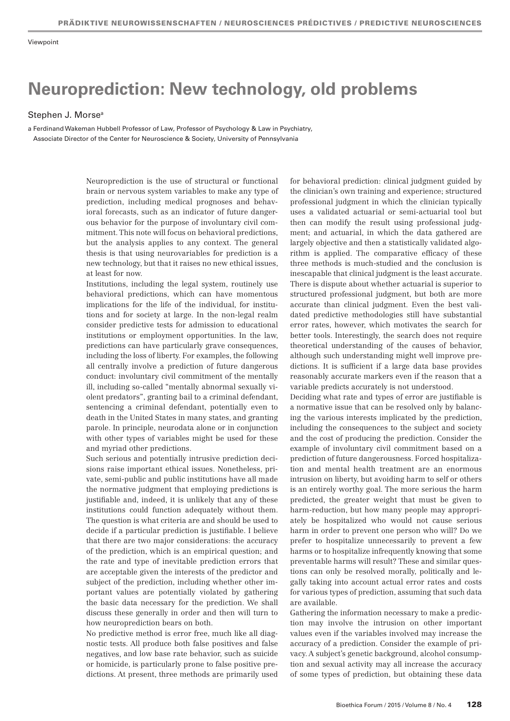# **Neuroprediction: New technology, old problems**

#### Stephen J. Morse<sup>a</sup>

a Ferdinand Wakeman Hubbell Professor of Law, Professor of Psychology & Law in Psychiatry, Associate Director of the Center for Neuroscience & Society, University of Pennsylvania

> Neuroprediction is the use of structural or functional brain or nervous system variables to make any type of prediction, including medical prognoses and behavioral forecasts, such as an indicator of future dangerous behavior for the purpose of involuntary civil commitment. This note will focus on behavioral predictions, but the analysis applies to any context. The general thesis is that using neurovariables for prediction is a new technology, but that it raises no new ethical issues, at least for now.

> Institutions, including the legal system, routinely use behavioral predictions, which can have momentous implications for the life of the individual, for institutions and for society at large. In the non-legal realm consider predictive tests for admission to educational institutions or employment opportunities. In the law, predictions can have particularly grave consequences, including the loss of liberty. For examples, the following all centrally involve a prediction of future dangerous conduct: involuntary civil commitment of the mentally ill, including so-called "mentally abnormal sexually violent predators", granting bail to a criminal defendant, sentencing a criminal defendant, potentially even to death in the United States in many states, and granting parole. In principle, neurodata alone or in conjunction with other types of variables might be used for these and myriad other predictions.

> Such serious and potentially intrusive prediction decisions raise important ethical issues. Nonetheless, private, semi-public and public institutions have all made the normative judgment that employing predictions is justifiable and, indeed, it is unlikely that any of these institutions could function adequately without them. The question is what criteria are and should be used to decide if a particular prediction is justifiable. I believe that there are two major considerations: the accuracy of the prediction, which is an empirical question; and the rate and type of inevitable prediction errors that are acceptable given the interests of the predictor and subject of the prediction, including whether other important values are potentially violated by gathering the basic data necessary for the prediction. We shall discuss these generally in order and then will turn to how neuroprediction bears on both.

> No predictive method is error free, much like all diagnostic tests. All produce both false positives and false negatives, and low base rate behavior, such as suicide or homicide, is particularly prone to false positive predictions. At present, three methods are primarily used

for behavioral prediction: clinical judgment guided by the clinician's own training and experience; structured professional judgment in which the clinician typically uses a validated actuarial or semi-actuarial tool but then can modify the result using professional judgment; and actuarial, in which the data gathered are largely objective and then a statistically validated algorithm is applied. The comparative efficacy of these three methods is much-studied and the conclusion is inescapable that clinical judgment is the least accurate. There is dispute about whether actuarial is superior to structured professional judgment, but both are more accurate than clinical judgment. Even the best validated predictive methodologies still have substantial error rates, however, which motivates the search for better tools. Interestingly, the search does not require theoretical understanding of the causes of behavior, although such understanding might well improve predictions. It is sufficient if a large data base provides reasonably accurate markers even if the reason that a variable predicts accurately is not understood.

Deciding what rate and types of error are justifiable is a normative issue that can be resolved only by balancing the various interests implicated by the prediction, including the consequences to the subject and society and the cost of producing the prediction. Consider the example of involuntary civil commitment based on a prediction of future dangerousness. Forced hospitalization and mental health treatment are an enormous intrusion on liberty, but avoiding harm to self or others is an entirely worthy goal. The more serious the harm predicted, the greater weight that must be given to harm-reduction, but how many people may appropriately be hospitalized who would not cause serious harm in order to prevent one person who will? Do we prefer to hospitalize unnecessarily to prevent a few harms or to hospitalize infrequently knowing that some preventable harms will result? These and similar questions can only be resolved morally, politically and legally taking into account actual error rates and costs for various types of prediction, assuming that such data are available.

Gathering the information necessary to make a prediction may involve the intrusion on other important values even if the variables involved may increase the accuracy of a prediction. Consider the example of privacy. A subject's genetic background, alcohol consumption and sexual activity may all increase the accuracy of some types of prediction, but obtaining these data